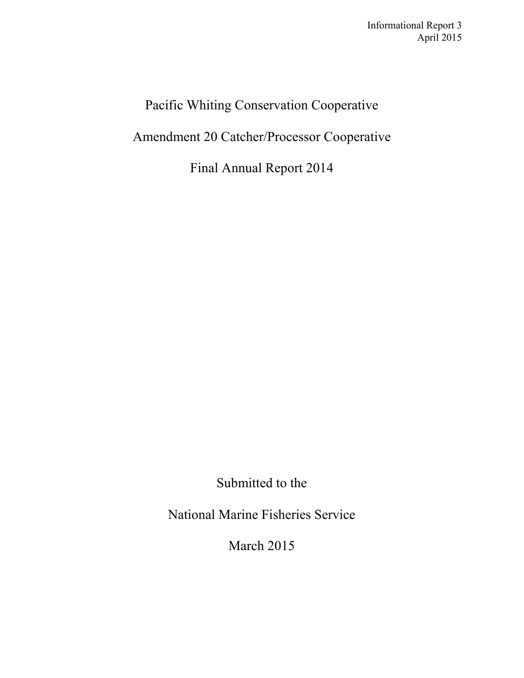# Pacific Whiting Conservation Cooperative

Amendment 20 Catcher/Processor Cooperative

Final Annual Report 2014

Submitted to the

National Marine Fisheries Service

March 2015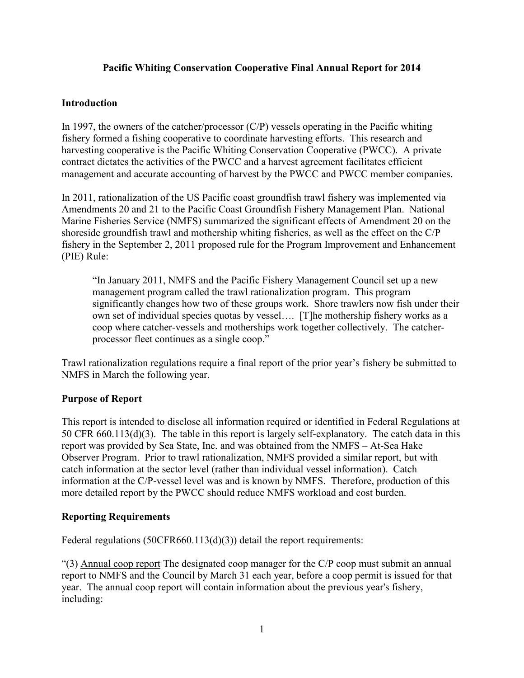# **Pacific Whiting Conservation Cooperative Final Annual Report for 2014**

### **Introduction**

In 1997, the owners of the catcher/processor (C/P) vessels operating in the Pacific whiting fishery formed a fishing cooperative to coordinate harvesting efforts. This research and harvesting cooperative is the Pacific Whiting Conservation Cooperative (PWCC). A private contract dictates the activities of the PWCC and a harvest agreement facilitates efficient management and accurate accounting of harvest by the PWCC and PWCC member companies.

In 2011, rationalization of the US Pacific coast groundfish trawl fishery was implemented via Amendments 20 and 21 to the Pacific Coast Groundfish Fishery Management Plan. National Marine Fisheries Service (NMFS) summarized the significant effects of Amendment 20 on the shoreside groundfish trawl and mothership whiting fisheries, as well as the effect on the C/P fishery in the September 2, 2011 proposed rule for the Program Improvement and Enhancement (PIE) Rule:

"In January 2011, NMFS and the Pacific Fishery Management Council set up a new management program called the trawl rationalization program. This program significantly changes how two of these groups work. Shore trawlers now fish under their own set of individual species quotas by vessel…. [T]he mothership fishery works as a coop where catcher-vessels and motherships work together collectively. The catcherprocessor fleet continues as a single coop."

Trawl rationalization regulations require a final report of the prior year's fishery be submitted to NMFS in March the following year.

# **Purpose of Report**

This report is intended to disclose all information required or identified in Federal Regulations at 50 CFR 660.113(d)(3). The table in this report is largely self-explanatory. The catch data in this report was provided by Sea State, Inc. and was obtained from the NMFS – At-Sea Hake Observer Program. Prior to trawl rationalization, NMFS provided a similar report, but with catch information at the sector level (rather than individual vessel information). Catch information at the C/P-vessel level was and is known by NMFS. Therefore, production of this more detailed report by the PWCC should reduce NMFS workload and cost burden.

#### **Reporting Requirements**

Federal regulations (50CFR660.113(d)(3)) detail the report requirements:

"(3) Annual coop report The designated coop manager for the C/P coop must submit an annual report to NMFS and the Council by March 31 each year, before a coop permit is issued for that year. The annual coop report will contain information about the previous year's fishery, including: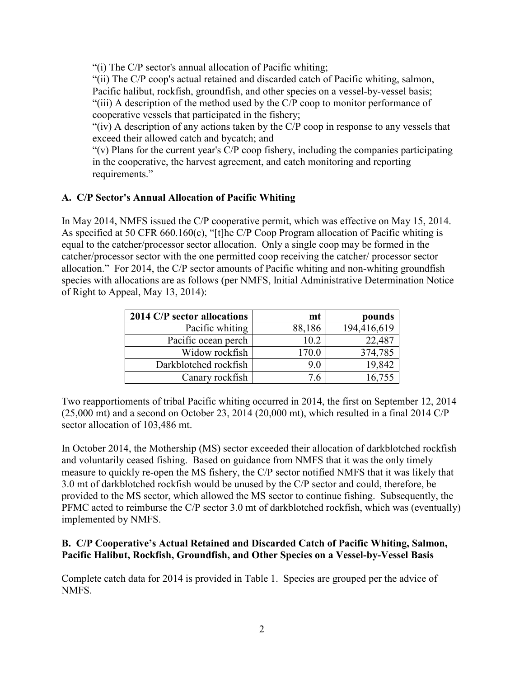"(i) The C/P sector's annual allocation of Pacific whiting;

"(ii) The C/P coop's actual retained and discarded catch of Pacific whiting, salmon, Pacific halibut, rockfish, groundfish, and other species on a vessel-by-vessel basis; "(iii) A description of the method used by the C/P coop to monitor performance of cooperative vessels that participated in the fishery;

"(iv) A description of any actions taken by the C/P coop in response to any vessels that exceed their allowed catch and bycatch; and

"(v) Plans for the current year's C/P coop fishery, including the companies participating in the cooperative, the harvest agreement, and catch monitoring and reporting requirements."

# **A. C/P Sector's Annual Allocation of Pacific Whiting**

In May 2014, NMFS issued the C/P cooperative permit, which was effective on May 15, 2014. As specified at 50 CFR 660.160(c), "[t]he C/P Coop Program allocation of Pacific whiting is equal to the catcher/processor sector allocation. Only a single coop may be formed in the catcher/processor sector with the one permitted coop receiving the catcher/ processor sector allocation." For 2014, the C/P sector amounts of Pacific whiting and non-whiting groundfish species with allocations are as follows (per NMFS, Initial Administrative Determination Notice of Right to Appeal, May 13, 2014):

| 2014 C/P sector allocations | mt     | pounds      |
|-----------------------------|--------|-------------|
| Pacific whiting             | 88,186 | 194,416,619 |
| Pacific ocean perch         | 10.2   | 22,487      |
| Widow rockfish              | 170.0  | 374,785     |
| Darkblotched rockfish       | 9.0    | 19,842      |
| Canary rockfish             | 7.6    | 16,755      |

Two reapportioments of tribal Pacific whiting occurred in 2014, the first on September 12, 2014  $(25,000 \text{ mt})$  and a second on October 23, 2014 (20,000 mt), which resulted in a final 2014 C/P sector allocation of 103,486 mt.

In October 2014, the Mothership (MS) sector exceeded their allocation of darkblotched rockfish and voluntarily ceased fishing. Based on guidance from NMFS that it was the only timely measure to quickly re-open the MS fishery, the C/P sector notified NMFS that it was likely that 3.0 mt of darkblotched rockfish would be unused by the C/P sector and could, therefore, be provided to the MS sector, which allowed the MS sector to continue fishing. Subsequently, the PFMC acted to reimburse the C/P sector 3.0 mt of darkblotched rockfish, which was (eventually) implemented by NMFS.

# **B. C/P Cooperative's Actual Retained and Discarded Catch of Pacific Whiting, Salmon, Pacific Halibut, Rockfish, Groundfish, and Other Species on a Vessel-by-Vessel Basis**

Complete catch data for 2014 is provided in Table 1. Species are grouped per the advice of NMFS.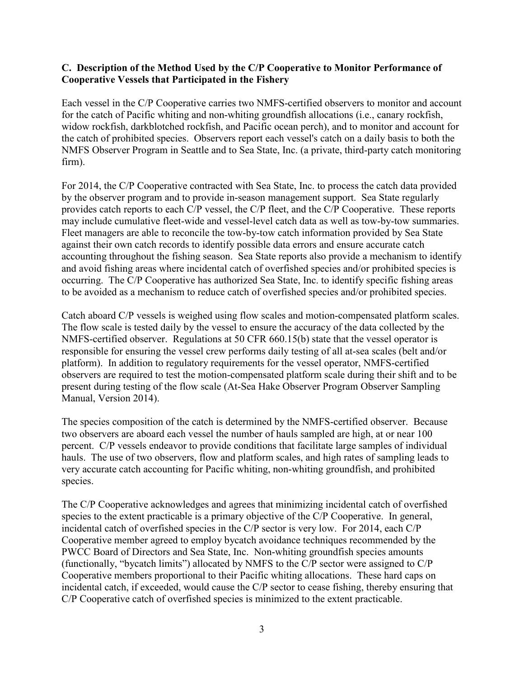### **C. Description of the Method Used by the C/P Cooperative to Monitor Performance of Cooperative Vessels that Participated in the Fishery**

Each vessel in the C/P Cooperative carries two NMFS-certified observers to monitor and account for the catch of Pacific whiting and non-whiting groundfish allocations (i.e., canary rockfish, widow rockfish, darkblotched rockfish, and Pacific ocean perch), and to monitor and account for the catch of prohibited species. Observers report each vessel's catch on a daily basis to both the NMFS Observer Program in Seattle and to Sea State, Inc. (a private, third-party catch monitoring firm).

For 2014, the C/P Cooperative contracted with Sea State, Inc. to process the catch data provided by the observer program and to provide in-season management support. Sea State regularly provides catch reports to each C/P vessel, the C/P fleet, and the C/P Cooperative. These reports may include cumulative fleet-wide and vessel-level catch data as well as tow-by-tow summaries. Fleet managers are able to reconcile the tow-by-tow catch information provided by Sea State against their own catch records to identify possible data errors and ensure accurate catch accounting throughout the fishing season. Sea State reports also provide a mechanism to identify and avoid fishing areas where incidental catch of overfished species and/or prohibited species is occurring. The C/P Cooperative has authorized Sea State, Inc. to identify specific fishing areas to be avoided as a mechanism to reduce catch of overfished species and/or prohibited species.

Catch aboard C/P vessels is weighed using flow scales and motion-compensated platform scales. The flow scale is tested daily by the vessel to ensure the accuracy of the data collected by the NMFS-certified observer. Regulations at 50 CFR 660.15(b) state that the vessel operator is responsible for ensuring the vessel crew performs daily testing of all at-sea scales (belt and/or platform). In addition to regulatory requirements for the vessel operator, NMFS-certified observers are required to test the motion-compensated platform scale during their shift and to be present during testing of the flow scale (At-Sea Hake Observer Program Observer Sampling Manual, Version 2014).

The species composition of the catch is determined by the NMFS-certified observer. Because two observers are aboard each vessel the number of hauls sampled are high, at or near 100 percent. C/P vessels endeavor to provide conditions that facilitate large samples of individual hauls. The use of two observers, flow and platform scales, and high rates of sampling leads to very accurate catch accounting for Pacific whiting, non-whiting groundfish, and prohibited species.

The C/P Cooperative acknowledges and agrees that minimizing incidental catch of overfished species to the extent practicable is a primary objective of the C/P Cooperative. In general, incidental catch of overfished species in the C/P sector is very low. For 2014, each C/P Cooperative member agreed to employ bycatch avoidance techniques recommended by the PWCC Board of Directors and Sea State, Inc. Non-whiting groundfish species amounts (functionally, "bycatch limits") allocated by NMFS to the C/P sector were assigned to C/P Cooperative members proportional to their Pacific whiting allocations. These hard caps on incidental catch, if exceeded, would cause the C/P sector to cease fishing, thereby ensuring that C/P Cooperative catch of overfished species is minimized to the extent practicable.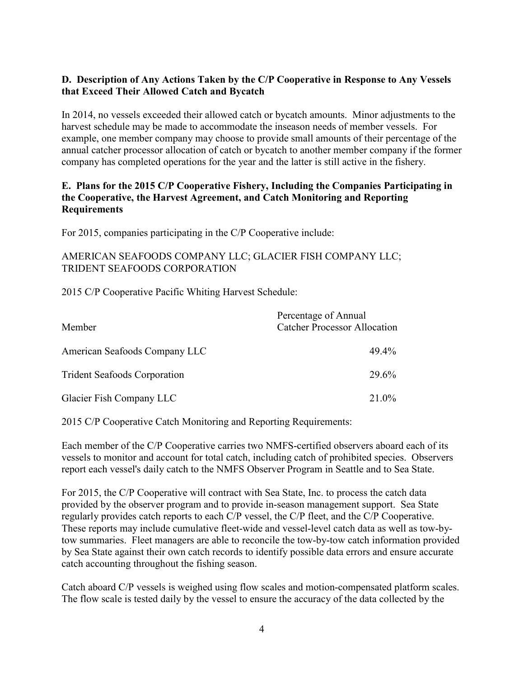# **D. Description of Any Actions Taken by the C/P Cooperative in Response to Any Vessels that Exceed Their Allowed Catch and Bycatch**

In 2014, no vessels exceeded their allowed catch or bycatch amounts. Minor adjustments to the harvest schedule may be made to accommodate the inseason needs of member vessels. For example, one member company may choose to provide small amounts of their percentage of the annual catcher processor allocation of catch or bycatch to another member company if the former company has completed operations for the year and the latter is still active in the fishery.

# **E. Plans for the 2015 C/P Cooperative Fishery, Including the Companies Participating in the Cooperative, the Harvest Agreement, and Catch Monitoring and Reporting Requirements**

For 2015, companies participating in the C/P Cooperative include:

# AMERICAN SEAFOODS COMPANY LLC; GLACIER FISH COMPANY LLC; TRIDENT SEAFOODS CORPORATION

2015 C/P Cooperative Pacific Whiting Harvest Schedule:

| Member                              | Percentage of Annual<br><b>Catcher Processor Allocation</b> |  |  |  |
|-------------------------------------|-------------------------------------------------------------|--|--|--|
| American Seafoods Company LLC       | 49.4%                                                       |  |  |  |
| <b>Trident Seafoods Corporation</b> | 29.6 <sup>%</sup>                                           |  |  |  |
| Glacier Fish Company LLC            | 21.0%                                                       |  |  |  |

2015 C/P Cooperative Catch Monitoring and Reporting Requirements:

Each member of the C/P Cooperative carries two NMFS-certified observers aboard each of its vessels to monitor and account for total catch, including catch of prohibited species. Observers report each vessel's daily catch to the NMFS Observer Program in Seattle and to Sea State.

For 2015, the C/P Cooperative will contract with Sea State, Inc. to process the catch data provided by the observer program and to provide in-season management support. Sea State regularly provides catch reports to each C/P vessel, the C/P fleet, and the C/P Cooperative. These reports may include cumulative fleet-wide and vessel-level catch data as well as tow-bytow summaries. Fleet managers are able to reconcile the tow-by-tow catch information provided by Sea State against their own catch records to identify possible data errors and ensure accurate catch accounting throughout the fishing season.

Catch aboard C/P vessels is weighed using flow scales and motion-compensated platform scales. The flow scale is tested daily by the vessel to ensure the accuracy of the data collected by the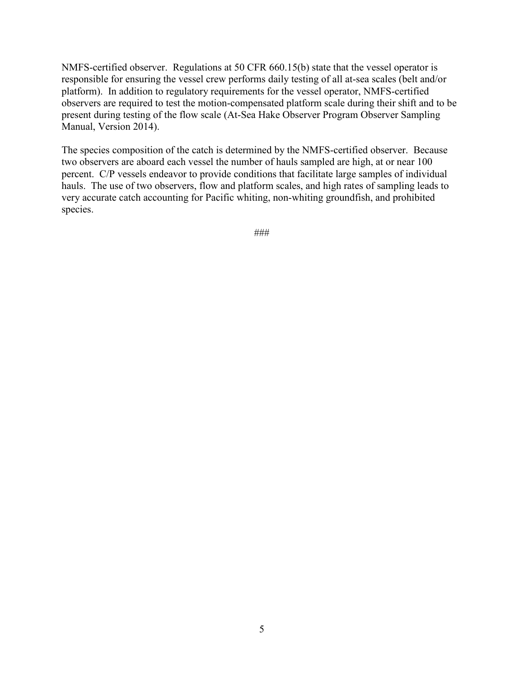NMFS-certified observer. Regulations at 50 CFR 660.15(b) state that the vessel operator is responsible for ensuring the vessel crew performs daily testing of all at-sea scales (belt and/or platform). In addition to regulatory requirements for the vessel operator, NMFS-certified observers are required to test the motion-compensated platform scale during their shift and to be present during testing of the flow scale (At-Sea Hake Observer Program Observer Sampling Manual, Version 2014).

The species composition of the catch is determined by the NMFS-certified observer. Because two observers are aboard each vessel the number of hauls sampled are high, at or near 100 percent. C/P vessels endeavor to provide conditions that facilitate large samples of individual hauls. The use of two observers, flow and platform scales, and high rates of sampling leads to very accurate catch accounting for Pacific whiting, non-whiting groundfish, and prohibited species.

###